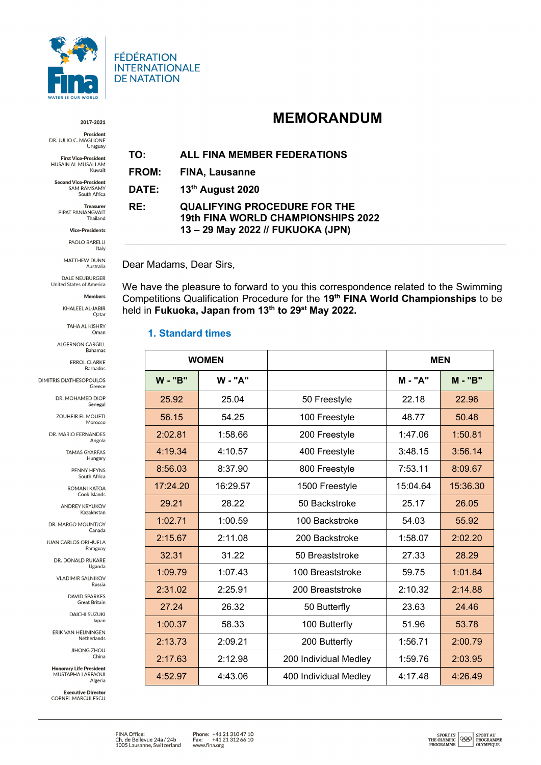

#### 2017-2021

**President** DR. JULIO C. MAGLIONE Uruguay

**First Vice-President** HUSAIN AL MUSALLAM Kuwait

**Second Vice-President** SAM RAMSAMY<br>South Africa

**Treasurer**<br>PIPAT PANIANGVAIT Thailand

**Vice-Presidents** 

PAOLO BARELLI Italy

MATTHEW DUNN Australia

DALE NEUBURGER United States of America

Members

KHALEEL AL-JABIR Qatar

> **TAHA AL KISHRY** Oman

ALGERNON CARGILL Bahamas

> ERROL CLARKE Barbados

**DIMITRIS DIATHESOPOULOS** Greece

> DR. MOHAMED DIOP Senegal

ZOUHEIR EL MOUFTI Morocco

DR. MARIO FERNANDES Angola

> **TAMAS GYARFAS** Hungary

> > PENNY HEYNS South Africa

**ROMANI KATOA** Cook Islands

**ANDREY KRYUKOV** Kazakhstar

DR. MARGO MOUNTJOY

**JUAN CARLOS ORIHUELA** Paraguay

DR. DONALD RUKARE Uganda

**VLADIMIR SALNIKOV** Russia

> DAVID SPARKES **Great Britain**

**DAICHI SUZUKI** Japan

ERIK VAN HEIJNINGEN Netherlands

> **JIHONG ZHOU** China

**Honorary Life President** MUSTAPHA LARFAOUI Algeria

**Executive Director** CORNEL MARCULESCU

# **MEMORANDUM**

**ALL FINA MEMBER FEDERATIONS** TO:

FROM: FINA, Lausanne

13th August 2020 DATE:

#### **QUALIFYING PROCEDURE FOR THE** RE: 19th FINA WORLD CHAMPIONSHIPS 2022 13-29 May 2022 // FUKUOKA (JPN)

### Dear Madams, Dear Sirs,

We have the pleasure to forward to you this correspondence related to the Swimming Competitions Qualification Procedure for the 19th FINA World Championships to be held in Fukuoka, Japan from 13th to 29<sup>st</sup> May 2022.

### 1. Standard times

| <b>WOMEN</b> |                |                       | <b>MEN</b>   |              |
|--------------|----------------|-----------------------|--------------|--------------|
| <b>W-"B"</b> | <b>W</b> - "A" |                       | <b>M-"A"</b> | <b>M-"B"</b> |
| 25.92        | 25.04          | 50 Freestyle          | 22.18        | 22.96        |
| 56.15        | 54.25          | 100 Freestyle         | 48.77        | 50.48        |
| 2:02.81      | 1:58.66        | 200 Freestyle         | 1:47.06      | 1:50.81      |
| 4:19.34      | 4:10.57        | 400 Freestyle         | 3:48.15      | 3:56.14      |
| 8:56.03      | 8:37.90        | 800 Freestyle         | 7:53.11      | 8:09.67      |
| 17:24.20     | 16:29.57       | 1500 Freestyle        | 15:04.64     | 15:36.30     |
| 29.21        | 28.22          | 50 Backstroke         | 25.17        | 26.05        |
| 1:02.71      | 1:00.59        | 100 Backstroke        | 54.03        | 55.92        |
| 2:15.67      | 2:11.08        | 200 Backstroke        | 1:58.07      | 2:02.20      |
| 32.31        | 31.22          | 50 Breaststroke       | 27.33        | 28.29        |
| 1:09.79      | 1:07.43        | 100 Breaststroke      | 59.75        | 1:01.84      |
| 2:31.02      | 2:25.91        | 200 Breaststroke      | 2:10.32      | 2:14.88      |
| 27.24        | 26.32          | 50 Butterfly          | 23.63        | 24.46        |
| 1:00.37      | 58.33          | 100 Butterfly         | 51.96        | 53.78        |
| 2:13.73      | 2:09.21        | 200 Butterfly         | 1:56.71      | 2:00.79      |
| 2:17.63      | 2:12.98        | 200 Individual Medley | 1:59.76      | 2:03.95      |
| 4:52.97      | 4:43.06        | 400 Individual Medley | 4:17.48      | 4:26.49      |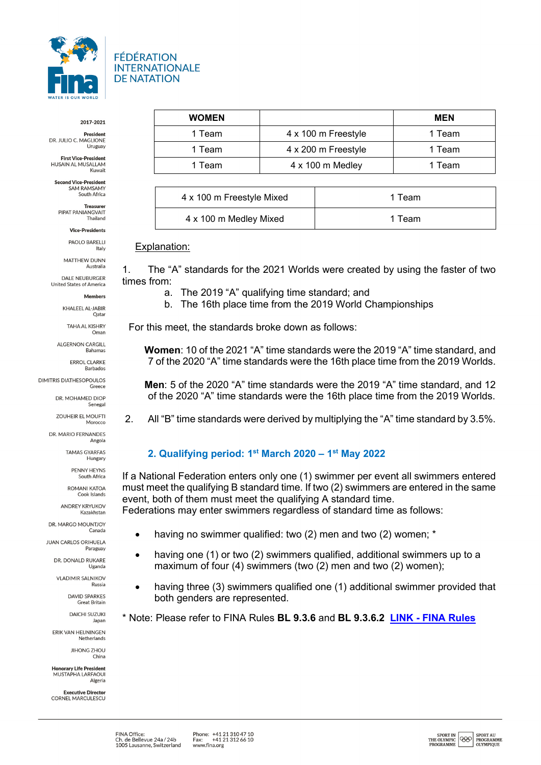

#### 2017-2021

**President** DR. JULIO C. MAGLIONE Uruguay

**First Vice-President** HUSAIN AL MUSALLAM Kuwai

**Second Vice-President** SAM RAMSAMY I RAMSAMT<br>South Africa

Treasure PIPAT PANIANGVAIT Thailand

**Vice-Presidents** 

**PAOLO BARELLI** Italy

MATTHEW DUNN Australia

**DALE NEUBURGER** United States of America

Members

KHALEEL AL-JABIR Oatar

> TAHA AL KISHRY Oman

**ALGERNON CARGILL** Bahamas

> ERROL CLARKE Barbados

**DIMITRIS DIATHESOPOULOS** Greece

> DR. MOHAMED DIOP Senega

ZOUHEIR EL MOUFTI Morocco

DR. MARIO FERNANDES Angola

> **TAMAS GYARFAS** Hungary

> > **PENNY HEYNS** South Africa

*ROMANI ΚΑΤΟΑ* Cook Islands

ANDREY KRYLIKOV Kazakhstar

DR. MARGO MOUNTJOY

**JUAN CARLOS ORIHUELA** Paraguay

> DR. DONALD RUKARE Uganda

**VLADIMIR SALNIKOV** Russia

> DAVID SPARKES **Great Britain**

**DAICHI SUZUKI** Japan

ERIK VAN HEIJNINGEN Netherlands

> **JIHONG ZHOU** China

**Honorary Life President** MUSTAPHA LAREAOUL Algeria

**Executive Director** CORNEL MARCULESCU

| <b>WOMEN</b> |                         | <b>MEN</b> |
|--------------|-------------------------|------------|
| 1 Team       | 4 x 100 m Freestyle     | 1 Team     |
| 1 Team       | 4 x 200 m Freestyle     | 1 Team     |
| 1 Team       | $4 \times 100$ m Medley | 1 Team     |

| 4 x 100 m Freestyle Mixed | 1 Team |
|---------------------------|--------|
| 4 x 100 m Medley Mixed    | 1 Team |

#### Explanation:

1. The "A" standards for the 2021 Worlds were created by using the faster of two times from:

a. The 2019 "A" qualifying time standard; and

b. The 16th place time from the 2019 World Championships

For this meet, the standards broke down as follows:

**Women**: 10 of the 2021 "A" time standards were the 2019 "A" time standard, and 7 of the 2020 "A" time standards were the 16th place time from the 2019 Worlds.

**Men**: 5 of the 2020 "A" time standards were the 2019 "A" time standard, and 12 of the 2020 "A" time standards were the 16th place time from the 2019 Worlds.

2. All "B" time standards were derived by multiplying the "A" time standard by 3.5%.

## **2. Qualifying period: 1st March 2020 – 1st May 2022**

If a National Federation enters only one (1) swimmer per event all swimmers entered must meet the qualifying B standard time. If two (2) swimmers are entered in the same event, both of them must meet the qualifying A standard time.

Federations may enter swimmers regardless of standard time as follows:

- having no swimmer qualified: two (2) men and two (2) women; \*
- having one (1) or two (2) swimmers qualified, additional swimmers up to a maximum of four (4) swimmers (two (2) men and two (2) women);
- having three (3) swimmers qualified one (1) additional swimmer provided that both genders are represented.
- \* Note: Please refer to FINA Rules **BL 9.3.6** and **BL 9.3.6.2 LINK - [FINA Rules](https://www.fina.org/content/fina-rules)**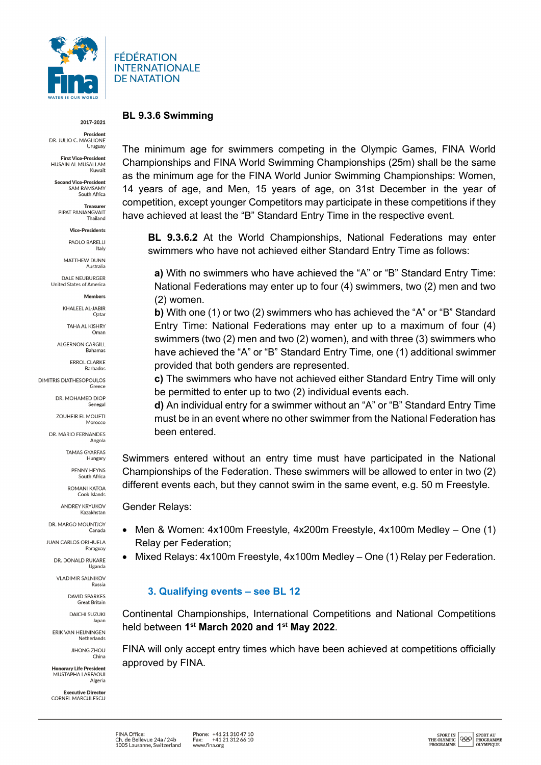

#### 2017-2021

**President** DR. JULIO C. MAGLIONE Uruguay

**First Vice-President** HUSAIN AL MUSALLAM Kuwait

**Second Vice-President** IN VICE-President

South Africa Treasure PIPAT PANIANGVAIT

Thailand

**Vice-Presidents** 

PAOLO BARELLI Italy

MATTHEW DUNN Australia

**DALE NEUBURGER** United States of America

Members

KHALEEL AL-JABIR Oatar

> **TAHA AL KISHRY** Oman

**ALGERNON CARGILL** Bahamas

> **ERROL CLARKE** Barbados

**DIMITRIS DIATHESOPOULOS** Greece

> DR. MOHAMED DIOP Senegal

ZOUHEIR EL MOUFTI Morocco

DR. MARIO FERNANDES Angola

> **TAMAS GYARFAS** Hungary

> > PENNY HEYNS South Africa

*ROMANI ΚΑΤΟΑ* Cook Islands

ANDREY KRYLIKOV Kazakhstar

DR. MARGO MOUNTJOY

**JUAN CARLOS ORIHUELA** Paraguay

> DR. DONALD RUKARE Uganda

**VLADIMIR SALNIKOV** Russia

> DAVID SPARKES **Great Britain**

**DAICHI SUZUKI** Japan

ERIK VAN HEIJNINGEN Netherlands

> **JIHONG ZHOU** China

**Honorary Life President** MUSTAPHA LAREAOUL Algeria

**Executive Director** CORNEL MARCULESCU **BL 9.3.6 Swimming** 

The minimum age for swimmers competing in the Olympic Games, FINA World Championships and FINA World Swimming Championships (25m) shall be the same as the minimum age for the FINA World Junior Swimming Championships: Women, 14 years of age, and Men, 15 years of age, on 31st December in the year of competition, except younger Competitors may participate in these competitions if they have achieved at least the "B" Standard Entry Time in the respective event.

**BL 9.3.6.2** At the World Championships, National Federations may enter swimmers who have not achieved either Standard Entry Time as follows:

**a)** With no swimmers who have achieved the "A" or "B" Standard Entry Time: National Federations may enter up to four (4) swimmers, two (2) men and two (2) women.

**b)** With one (1) or two (2) swimmers who has achieved the "A" or "B" Standard Entry Time: National Federations may enter up to a maximum of four (4) swimmers (two (2) men and two (2) women), and with three (3) swimmers who have achieved the "A" or "B" Standard Entry Time, one (1) additional swimmer provided that both genders are represented.

**c)** The swimmers who have not achieved either Standard Entry Time will only be permitted to enter up to two (2) individual events each.

**d)** An individual entry for a swimmer without an "A" or "B" Standard Entry Time must be in an event where no other swimmer from the National Federation has been entered.

Swimmers entered without an entry time must have participated in the National Championships of the Federation. These swimmers will be allowed to enter in two (2) different events each, but they cannot swim in the same event, e.g. 50 m Freestyle.

Gender Relays:

- Men & Women: 4x100m Freestyle, 4x200m Freestyle, 4x100m Medley One (1) Relay per Federation;
	- Mixed Relays: 4x100m Freestyle, 4x100m Medley One (1) Relay per Federation.

### **3. Qualifying events – see BL 12**

Continental Championships, International Competitions and National Competitions held between **1st March 2020 and 1st May 2022**.

FINA will only accept entry times which have been achieved at competitions officially approved by FINA.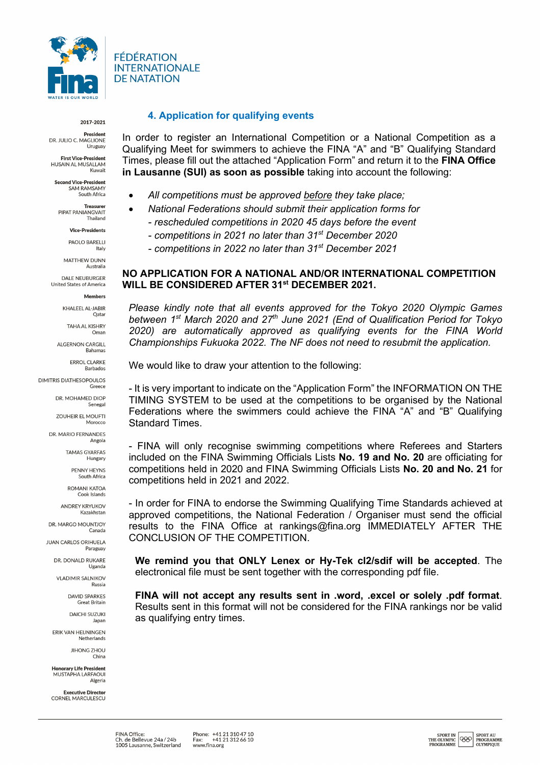

2017-2021

**President** DR. JULIO C. MAGLIONE Uruguay

**First Vice-President** HUSAIN AL MUSALLAM Kuwait

**Second Vice-President** ia vice-President<br>SAM RAMSAMY r KAMSAMT<br>South Africa

Treasure PIPAT PANIANGVAIT Thailand

**Vice-Presidents** 

PAOLO BARELLI Italy

MATTHEW DUNN Australia

**DALE NEUBURGER** United States of America

Members

KHALEEL AL-JABIR Oatar

> TAHA AL KISHRY Oman

**ALGERNON CARGILL** Bahamas

> **ERROL CLARKE** Barbados

**DIMITRIS DIATHESOPOULOS** Greece

> DR. MOHAMED DIOP Senegal

> > ZOUHEIR EL MOUFTI Morocco

DR. MARIO FERNANDES Angola

> **TAMAS GYARFAS** Hungary

> > PENNY HEYNS South Africa

*ROMANI ΚΑΤΟΑ* Cook Islands

**ANDREY KRYLIKOV** Kazakhstar

DR. MARGO MOUNTJOY

**JUAN CARLOS ORIHUELA** Paraguay

DR. DONALD RUKARE Uganda

**VLADIMIR SALNIKOV** Russia

> **DAVID SPARKES Great Britain**

**DAICHI SUZUKI** Japan

ERIK VAN HEIJNINGEN Netherlands

> **JIHONG ZHOU** China

**Honorary Life President** MUSTAPHA LAREAOUL Algeria

**Executive Director** CORNEL MARCULESCU

### **4. Application for qualifying events**

In order to register an International Competition or a National Competition as a Qualifying Meet for swimmers to achieve the FINA "A" and "B" Qualifying Standard Times, please fill out the attached "Application Form" and return it to the **FINA Office in Lausanne (SUI) as soon as possible** taking into account the following:

- *All competitions must be approved before they take place;*
- *National Federations should submit their application forms for - rescheduled competitions in 2020 45 days before the event*
	- *- competitions in 2021 no later than 31st December 2020*
	-
	- *- competitions in 2022 no later than 31st December 2021*

### **NO APPLICATION FOR A NATIONAL AND/OR INTERNATIONAL COMPETITION WILL BE CONSIDERED AFTER 31st DECEMBER 2021.**

*Please kindly note that all events approved for the Tokyo 2020 Olympic Games between 1st March 2020 and 27th June 2021 (End of Qualification Period for Tokyo 2020) are automatically approved as qualifying events for the FINA World Championships Fukuoka 2022. The NF does not need to resubmit the application.*

We would like to draw your attention to the following:

- It is very important to indicate on the "Application Form" the INFORMATION ON THE TIMING SYSTEM to be used at the competitions to be organised by the National Federations where the swimmers could achieve the FINA "A" and "B" Qualifying Standard Times.

- FINA will only recognise swimming competitions where Referees and Starters included on the FINA Swimming Officials Lists **No. 19 and No. 20** are officiating for competitions held in 2020 and FINA Swimming Officials Lists **No. 20 and No. 21** for competitions held in 2021 and 2022.

- In order for FINA to endorse the Swimming Qualifying Time Standards achieved at approved competitions, the National Federation / Organiser must send the official results to the FINA Office at rankings@fina.org IMMEDIATELY AFTER THE CONCLUSION OF THE COMPETITION.

**We remind you that ONLY Lenex or Hy-Tek cl2/sdif will be accepted**. The electronical file must be sent together with the corresponding pdf file.

**FINA will not accept any results sent in .word, .excel or solely .pdf format**. Results sent in this format will not be considered for the FINA rankings nor be valid as qualifying entry times.